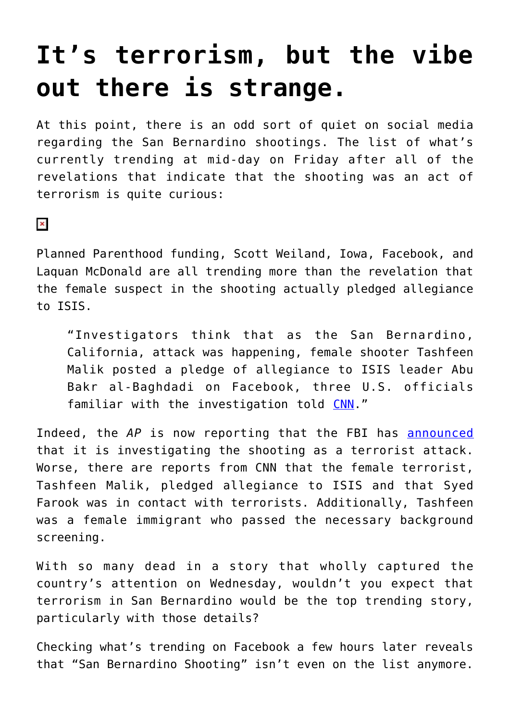## **[It's terrorism, but the vibe](https://intellectualtakeout.org/2015/12/its-terrorism-but-the-vibe-out-there-is-strange/) [out there is strange.](https://intellectualtakeout.org/2015/12/its-terrorism-but-the-vibe-out-there-is-strange/)**

At this point, there is an odd sort of quiet on social media regarding the San Bernardino shootings. The list of what's currently trending at mid-day on Friday after all of the revelations that indicate that the shooting was an act of terrorism is quite curious:

## $\pmb{\times}$

Planned Parenthood funding, Scott Weiland, Iowa, Facebook, and Laquan McDonald are all trending more than the revelation that the female suspect in the shooting actually pledged allegiance to ISIS.

"Investigators think that as the San Bernardino, California, attack was happening, female shooter Tashfeen Malik posted a pledge of allegiance to ISIS leader Abu Bakr al-Baghdadi on Facebook, three U.S. officials familiar with the investigation told [CNN.](http://www.cnn.com/2015/12/04/us/san-bernardino-shooting/index.html)"

Indeed, the *AP* is now reporting that the FBI has [announced](http://hosted.ap.org/dynamic/stories/U/US_CALIFORNIA_SHOOTING_THE_LATEST?SITE=AP&SECTION=HOME&TEMPLATE=DEFAULT&CTIME=2015-12-04-14-29-57) that it is investigating the shooting as a terrorist attack. Worse, there are reports from CNN that the female terrorist, Tashfeen Malik, pledged allegiance to ISIS and that Syed Farook was in contact with terrorists. Additionally, Tashfeen was a female immigrant who passed the necessary background screening.

With so many dead in a story that wholly captured the country's attention on Wednesday, wouldn't you expect that terrorism in San Bernardino would be the top trending story, particularly with those details?

Checking what's trending on Facebook a few hours later reveals that "San Bernardino Shooting" isn't even on the list anymore.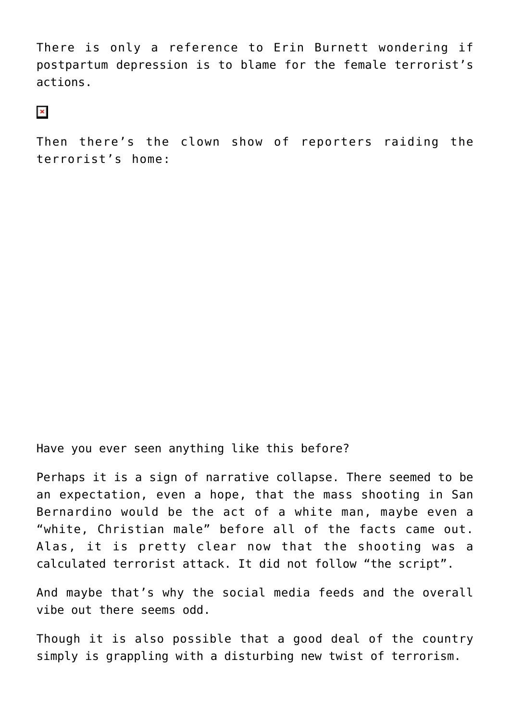There is only a reference to Erin Burnett wondering if postpartum depression is to blame for the female terrorist's actions.

 $\pmb{\times}$ 

Then there's the clown show of reporters raiding the terrorist's home:

Have you ever seen anything like this before?

Perhaps it is a sign of narrative collapse. There seemed to be an expectation, even a hope, that the mass shooting in San Bernardino would be the act of a white man, maybe even a "white, Christian male" before all of the facts came out. Alas, it is pretty clear now that the shooting was a calculated terrorist attack. It did not follow "the script".

And maybe that's why the social media feeds and the overall vibe out there seems odd.

Though it is also possible that a good deal of the country simply is grappling with a disturbing new twist of terrorism.